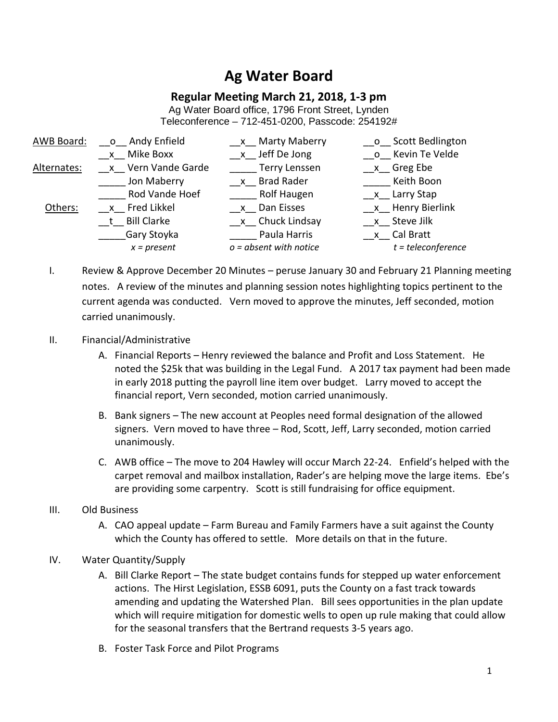## **Ag Water Board**

## **Regular Meeting March 21, 2018, 1-3 pm**

Ag Water Board office, 1796 Front Street, Lynden Teleconference – 712-451-0200, Passcode: 254192#

| AWB Board:  | o Andy Enfield     | x Marty Maberry          | o Scott Bedlington        |
|-------------|--------------------|--------------------------|---------------------------|
|             | x Mike Boxx        | x Jeff De Jong           | o Kevin Te Velde          |
| Alternates: | x Vern Vande Garde | Terry Lenssen            | x Greg Ebe                |
|             | Jon Maberry        | x Brad Rader             | Keith Boon                |
|             | Rod Vande Hoef     | Rolf Haugen              | $\frac{\ }{2}$ Larry Stap |
| Others:     | x Fred Likkel      | x Dan Eisses             | x Henry Bierlink          |
|             | t Bill Clarke      | x Chuck Lindsay          | x Steve Jilk              |
|             | Gary Stoyka        | Paula Harris             | x Cal Bratt               |
|             | $x = present$      | $o = absent$ with notice | $t = teleconference$      |

- I. Review & Approve December 20 Minutes peruse January 30 and February 21 Planning meeting notes. A review of the minutes and planning session notes highlighting topics pertinent to the current agenda was conducted. Vern moved to approve the minutes, Jeff seconded, motion carried unanimously.
- II. Financial/Administrative
	- A. Financial Reports Henry reviewed the balance and Profit and Loss Statement. He noted the \$25k that was building in the Legal Fund. A 2017 tax payment had been made in early 2018 putting the payroll line item over budget. Larry moved to accept the financial report, Vern seconded, motion carried unanimously.
	- B. Bank signers The new account at Peoples need formal designation of the allowed signers. Vern moved to have three – Rod, Scott, Jeff, Larry seconded, motion carried unanimously.
	- C. AWB office The move to 204 Hawley will occur March 22-24. Enfield's helped with the carpet removal and mailbox installation, Rader's are helping move the large items. Ebe's are providing some carpentry. Scott is still fundraising for office equipment.
- III. Old Business
	- A. CAO appeal update Farm Bureau and Family Farmers have a suit against the County which the County has offered to settle. More details on that in the future.
- IV. Water Quantity/Supply
	- A. Bill Clarke Report The state budget contains funds for stepped up water enforcement actions. The Hirst Legislation, ESSB 6091, puts the County on a fast track towards amending and updating the Watershed Plan. Bill sees opportunities in the plan update which will require mitigation for domestic wells to open up rule making that could allow for the seasonal transfers that the Bertrand requests 3-5 years ago.
	- B. Foster Task Force and Pilot Programs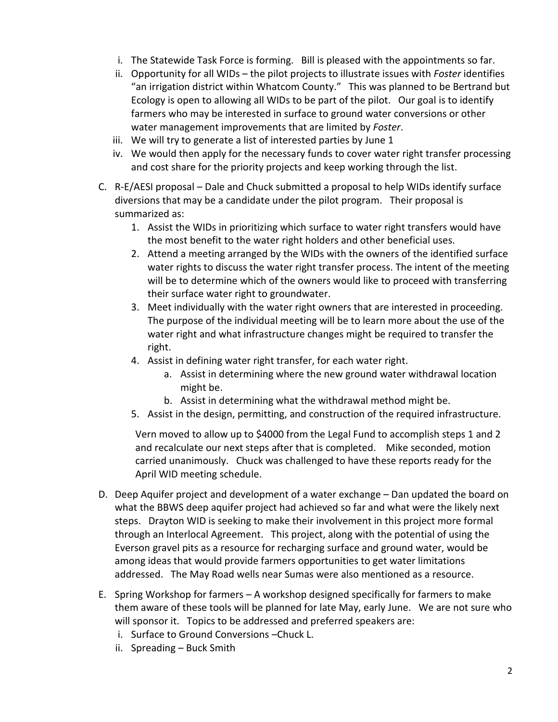- i. The Statewide Task Force is forming. Bill is pleased with the appointments so far.
- ii. Opportunity for all WIDs the pilot projects to illustrate issues with *Foster* identifies "an irrigation district within Whatcom County." This was planned to be Bertrand but Ecology is open to allowing all WIDs to be part of the pilot. Our goal is to identify farmers who may be interested in surface to ground water conversions or other water management improvements that are limited by *Foster*.
- iii. We will try to generate a list of interested parties by June 1
- iv. We would then apply for the necessary funds to cover water right transfer processing and cost share for the priority projects and keep working through the list.
- C. R-E/AESI proposal Dale and Chuck submitted a proposal to help WIDs identify surface diversions that may be a candidate under the pilot program. Their proposal is summarized as:
	- 1. Assist the WIDs in prioritizing which surface to water right transfers would have the most benefit to the water right holders and other beneficial uses.
	- 2. Attend a meeting arranged by the WIDs with the owners of the identified surface water rights to discuss the water right transfer process. The intent of the meeting will be to determine which of the owners would like to proceed with transferring their surface water right to groundwater.
	- 3. Meet individually with the water right owners that are interested in proceeding. The purpose of the individual meeting will be to learn more about the use of the water right and what infrastructure changes might be required to transfer the right.
	- 4. Assist in defining water right transfer, for each water right.
		- a. Assist in determining where the new ground water withdrawal location might be.
		- b. Assist in determining what the withdrawal method might be.
	- 5. Assist in the design, permitting, and construction of the required infrastructure.

Vern moved to allow up to \$4000 from the Legal Fund to accomplish steps 1 and 2 and recalculate our next steps after that is completed. Mike seconded, motion carried unanimously. Chuck was challenged to have these reports ready for the April WID meeting schedule.

- D. Deep Aquifer project and development of a water exchange Dan updated the board on what the BBWS deep aquifer project had achieved so far and what were the likely next steps. Drayton WID is seeking to make their involvement in this project more formal through an Interlocal Agreement. This project, along with the potential of using the Everson gravel pits as a resource for recharging surface and ground water, would be among ideas that would provide farmers opportunities to get water limitations addressed. The May Road wells near Sumas were also mentioned as a resource.
- E. Spring Workshop for farmers A workshop designed specifically for farmers to make them aware of these tools will be planned for late May, early June. We are not sure who will sponsor it. Topics to be addressed and preferred speakers are:
	- i. Surface to Ground Conversions –Chuck L.
	- ii. Spreading Buck Smith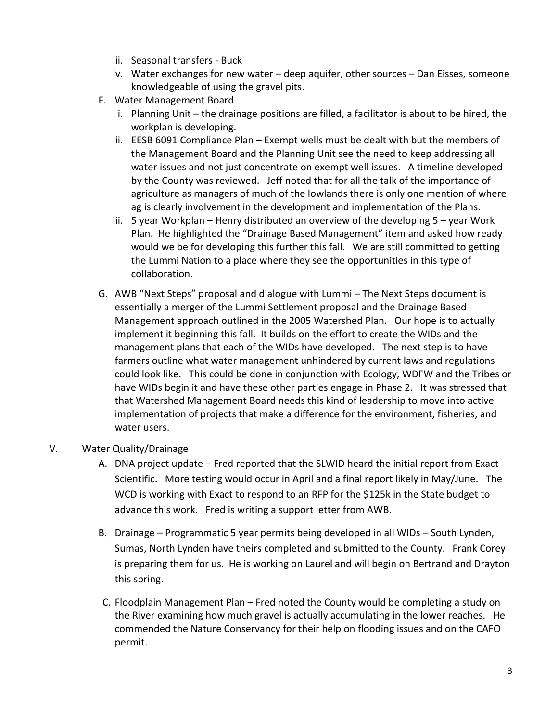- iii. Seasonal transfers Buck
- iv. Water exchanges for new water deep aquifer, other sources Dan Eisses, someone knowledgeable of using the gravel pits.
- F. Water Management Board
	- i. Planning Unit the drainage positions are filled, a facilitator is about to be hired, the workplan is developing.
	- ii. EESB 6091 Compliance Plan Exempt wells must be dealt with but the members of the Management Board and the Planning Unit see the need to keep addressing all water issues and not just concentrate on exempt well issues. A timeline developed by the County was reviewed. Jeff noted that for all the talk of the importance of agriculture as managers of much of the lowlands there is only one mention of where ag is clearly involvement in the development and implementation of the Plans.
	- iii. 5 year Workplan Henry distributed an overview of the developing 5 year Work Plan. He highlighted the "Drainage Based Management" item and asked how ready would we be for developing this further this fall. We are still committed to getting the Lummi Nation to a place where they see the opportunities in this type of collaboration.
- G. AWB "Next Steps" proposal and dialogue with Lummi The Next Steps document is essentially a merger of the Lummi Settlement proposal and the Drainage Based Management approach outlined in the 2005 Watershed Plan. Our hope is to actually implement it beginning this fall. It builds on the effort to create the WIDs and the management plans that each of the WIDs have developed. The next step is to have farmers outline what water management unhindered by current laws and regulations could look like. This could be done in conjunction with Ecology, WDFW and the Tribes or have WIDs begin it and have these other parties engage in Phase 2. It was stressed that that Watershed Management Board needs this kind of leadership to move into active implementation of projects that make a difference for the environment, fisheries, and water users.

## V. Water Quality/Drainage

- A. DNA project update Fred reported that the SLWID heard the initial report from Exact Scientific. More testing would occur in April and a final report likely in May/June. The WCD is working with Exact to respond to an RFP for the \$125k in the State budget to advance this work. Fred is writing a support letter from AWB.
- B. Drainage Programmatic 5 year permits being developed in all WIDs South Lynden, Sumas, North Lynden have theirs completed and submitted to the County. Frank Corey is preparing them for us. He is working on Laurel and will begin on Bertrand and Drayton this spring.
- C. Floodplain Management Plan Fred noted the County would be completing a study on the River examining how much gravel is actually accumulating in the lower reaches. He commended the Nature Conservancy for their help on flooding issues and on the CAFO permit.